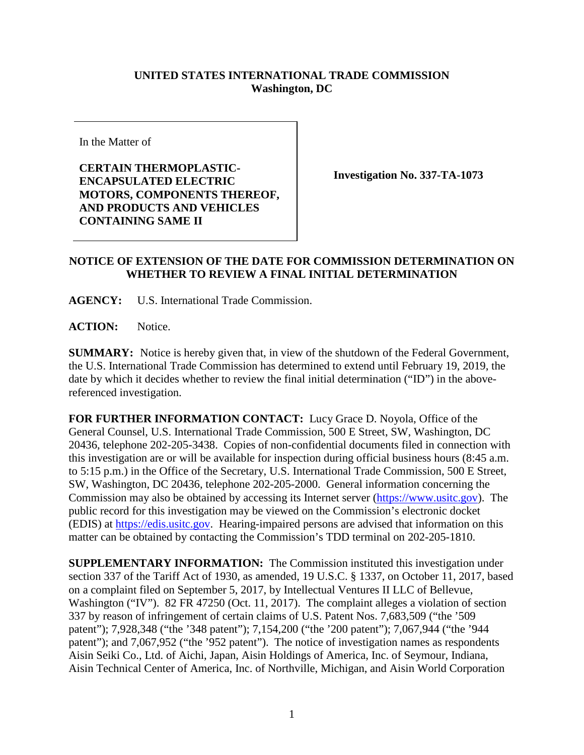## **UNITED STATES INTERNATIONAL TRADE COMMISSION Washington, DC**

In the Matter of

**CERTAIN THERMOPLASTIC-ENCAPSULATED ELECTRIC MOTORS, COMPONENTS THEREOF, AND PRODUCTS AND VEHICLES CONTAINING SAME II**

**Investigation No. 337-TA-1073**

## **NOTICE OF EXTENSION OF THE DATE FOR COMMISSION DETERMINATION ON WHETHER TO REVIEW A FINAL INITIAL DETERMINATION**

**AGENCY:** U.S. International Trade Commission.

**ACTION:** Notice.

**SUMMARY:** Notice is hereby given that, in view of the shutdown of the Federal Government, the U.S. International Trade Commission has determined to extend until February 19, 2019, the date by which it decides whether to review the final initial determination ("ID") in the abovereferenced investigation.

**FOR FURTHER INFORMATION CONTACT:** Lucy Grace D. Noyola, Office of the General Counsel, U.S. International Trade Commission, 500 E Street, SW, Washington, DC 20436, telephone 202-205-3438. Copies of non-confidential documents filed in connection with this investigation are or will be available for inspection during official business hours (8:45 a.m. to 5:15 p.m.) in the Office of the Secretary, U.S. International Trade Commission, 500 E Street, SW, Washington, DC 20436, telephone 202-205-2000. General information concerning the Commission may also be obtained by accessing its Internet server [\(https://www.usitc.gov\)](https://www.usitc.gov/). The public record for this investigation may be viewed on the Commission's electronic docket (EDIS) at [https://edis.usitc.gov.](http://edis.usitc.gov/) Hearing-impaired persons are advised that information on this matter can be obtained by contacting the Commission's TDD terminal on 202-205-1810.

**SUPPLEMENTARY INFORMATION:** The Commission instituted this investigation under section 337 of the Tariff Act of 1930, as amended, 19 U.S.C. § 1337, on October 11, 2017, based on a complaint filed on September 5, 2017, by Intellectual Ventures II LLC of Bellevue, Washington ("IV"). 82 FR 47250 (Oct. 11, 2017). The complaint alleges a violation of section 337 by reason of infringement of certain claims of U.S. Patent Nos. 7,683,509 ("the '509 patent"); 7,928,348 ("the '348 patent"); 7,154,200 ("the '200 patent"); 7,067,944 ("the '944 patent"); and 7,067,952 ("the '952 patent"). The notice of investigation names as respondents Aisin Seiki Co., Ltd. of Aichi, Japan, Aisin Holdings of America, Inc. of Seymour, Indiana, Aisin Technical Center of America, Inc. of Northville, Michigan, and Aisin World Corporation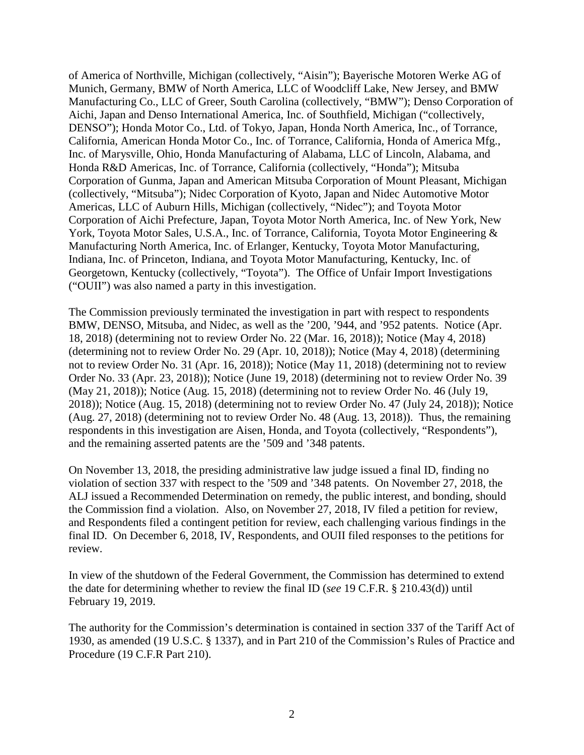of America of Northville, Michigan (collectively, "Aisin"); Bayerische Motoren Werke AG of Munich, Germany, BMW of North America, LLC of Woodcliff Lake, New Jersey, and BMW Manufacturing Co., LLC of Greer, South Carolina (collectively, "BMW"); Denso Corporation of Aichi, Japan and Denso International America, Inc. of Southfield, Michigan ("collectively, DENSO"); Honda Motor Co., Ltd. of Tokyo, Japan, Honda North America, Inc., of Torrance, California, American Honda Motor Co., Inc. of Torrance, California, Honda of America Mfg., Inc. of Marysville, Ohio, Honda Manufacturing of Alabama, LLC of Lincoln, Alabama, and Honda R&D Americas, Inc. of Torrance, California (collectively, "Honda"); Mitsuba Corporation of Gunma, Japan and American Mitsuba Corporation of Mount Pleasant, Michigan (collectively, "Mitsuba"); Nidec Corporation of Kyoto, Japan and Nidec Automotive Motor Americas, LLC of Auburn Hills, Michigan (collectively, "Nidec"); and Toyota Motor Corporation of Aichi Prefecture, Japan, Toyota Motor North America, Inc. of New York, New York, Toyota Motor Sales, U.S.A., Inc. of Torrance, California, Toyota Motor Engineering & Manufacturing North America, Inc. of Erlanger, Kentucky, Toyota Motor Manufacturing, Indiana, Inc. of Princeton, Indiana, and Toyota Motor Manufacturing, Kentucky, Inc. of Georgetown, Kentucky (collectively, "Toyota"). The Office of Unfair Import Investigations ("OUII") was also named a party in this investigation.

The Commission previously terminated the investigation in part with respect to respondents BMW, DENSO, Mitsuba, and Nidec, as well as the '200, '944, and '952 patents. Notice (Apr. 18, 2018) (determining not to review Order No. 22 (Mar. 16, 2018)); Notice (May 4, 2018) (determining not to review Order No. 29 (Apr. 10, 2018)); Notice (May 4, 2018) (determining not to review Order No. 31 (Apr. 16, 2018)); Notice (May 11, 2018) (determining not to review Order No. 33 (Apr. 23, 2018)); Notice (June 19, 2018) (determining not to review Order No. 39 (May 21, 2018)); Notice (Aug. 15, 2018) (determining not to review Order No. 46 (July 19, 2018)); Notice (Aug. 15, 2018) (determining not to review Order No. 47 (July 24, 2018)); Notice (Aug. 27, 2018) (determining not to review Order No. 48 (Aug. 13, 2018)). Thus, the remaining respondents in this investigation are Aisen, Honda, and Toyota (collectively, "Respondents"), and the remaining asserted patents are the '509 and '348 patents.

On November 13, 2018, the presiding administrative law judge issued a final ID, finding no violation of section 337 with respect to the '509 and '348 patents. On November 27, 2018, the ALJ issued a Recommended Determination on remedy, the public interest, and bonding, should the Commission find a violation. Also, on November 27, 2018, IV filed a petition for review, and Respondents filed a contingent petition for review, each challenging various findings in the final ID. On December 6, 2018, IV, Respondents, and OUII filed responses to the petitions for review.

In view of the shutdown of the Federal Government, the Commission has determined to extend the date for determining whether to review the final ID (*see* 19 C.F.R. § 210.43(d)) until February 19, 2019.

The authority for the Commission's determination is contained in section 337 of the Tariff Act of 1930, as amended (19 U.S.C. § 1337), and in Part 210 of the Commission's Rules of Practice and Procedure (19 C.F.R Part 210).